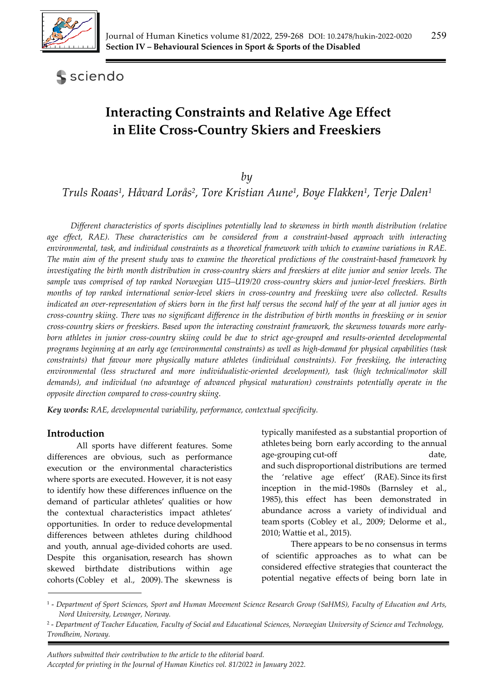

**S** sciendo

# **Interacting Constraints and Relative Age Effect in Elite Cross-Country Skiers and Freeskiers**

*by* 

*Truls Roaas1, Håvard Lorås2, Tore Kristian Aune1, Boye Flakken1, Terje Dalen1*

*Different characteristics of sports disciplines potentially lead to skewness in birth month distribution (relative age effect, RAE). These characteristics can be considered from a constraint-based approach with interacting environmental, task, and individual constraints as a theoretical framework with which to examine variations in RAE. The main aim of the present study was to examine the theoretical predictions of the constraint-based framework by investigating the birth month distribution in cross-country skiers and freeskiers at elite junior and senior levels. The sample was comprised of top ranked Norwegian U15–U19/20 cross-country skiers and junior-level freeskiers. Birth months of top ranked international senior-level skiers in cross-country and freeskiing were also collected. Results indicated an over-representation of skiers born in the first half versus the second half of the year at all junior ages in cross-country skiing. There was no significant difference in the distribution of birth months in freeskiing or in senior cross-country skiers or freeskiers. Based upon the interacting constraint framework, the skewness towards more earlyborn athletes in junior cross-country skiing could be due to strict age-grouped and results-oriented developmental programs beginning at an early age (environmental constraints) as well as high-demand for physical capabilities (task constraints) that favour more physically mature athletes (individual constraints). For freeskiing, the interacting environmental (less structured and more individualistic-oriented development), task (high technical/motor skill demands), and individual (no advantage of advanced physical maturation) constraints potentially operate in the opposite direction compared to cross-country skiing.* 

*Key words: RAE, developmental variability, performance, contextual specificity.*

## **Introduction**

All sports have different features. Some differences are obvious, such as performance execution or the environmental characteristics where sports are executed. However, it is not easy to identify how these differences influence on the demand of particular athletes' qualities or how the contextual characteristics impact athletes' opportunities. In order to reduce developmental differences between athletes during childhood and youth, annual age-divided cohorts are used. Despite this organisation, research has shown skewed birthdate distributions within age cohorts (Cobley et al., 2009). The skewness is

typically manifested as a substantial proportion of athletes being born early according to the annual age-grouping cut-off date, and such disproportional distributions are termed the 'relative age effect' (RAE). Since its first inception in the mid-1980s (Barnsley et al., 1985), this effect has been demonstrated in abundance across a variety of individual and team sports (Cobley et al., 2009; Delorme et al., 2010; Wattie et al., 2015).

 There appears to be no consensus in terms of scientific approaches as to what can be considered effective strategies that counteract the potential negative effects of being born late in

<sup>1 -</sup> *Department of Sport Sciences, Sport and Human Movement Science Research Group (SaHMS), Faculty of Education and Arts, Nord University, Levanger, Norway.*

<sup>2 -</sup> *Department of Teacher Education, Faculty of Social and Educational Sciences, Norwegian University of Science and Technology, Trondheim, Norway.*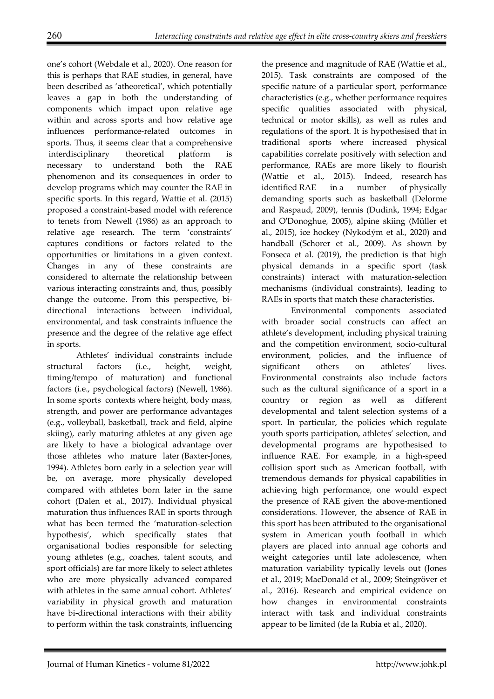one's cohort (Webdale et al., 2020). One reason for this is perhaps that RAE studies, in general, have been described as 'atheoretical', which potentially leaves a gap in both the understanding of components which impact upon relative age within and across sports and how relative age influences performance-related outcomes in sports. Thus, it seems clear that a comprehensive interdisciplinary theoretical platform is necessary to understand both the RAE phenomenon and its consequences in order to develop programs which may counter the RAE in specific sports. In this regard, Wattie et al. (2015) proposed a constraint-based model with reference to tenets from Newell (1986) as an approach to relative age research. The term 'constraints' captures conditions or factors related to the opportunities or limitations in a given context. Changes in any of these constraints are considered to alternate the relationship between various interacting constraints and, thus, possibly change the outcome. From this perspective, bidirectional interactions between individual, environmental, and task constraints influence the presence and the degree of the relative age effect in sports.

Athletes' individual constraints include structural factors (i.e., height, weight, timing/tempo of maturation) and functional factors (i.e., psychological factors) (Newell, 1986). In some sports contexts where height, body mass, strength, and power are performance advantages (e.g., volleyball, basketball, track and field, alpine skiing), early maturing athletes at any given age are likely to have a biological advantage over those athletes who mature later (Baxter-Jones, 1994). Athletes born early in a selection year will be, on average, more physically developed compared with athletes born later in the same cohort (Dalen et al., 2017). Individual physical maturation thus influences RAE in sports through what has been termed the 'maturation-selection hypothesis', which specifically states that organisational bodies responsible for selecting young athletes (e.g., coaches, talent scouts, and sport officials) are far more likely to select athletes who are more physically advanced compared with athletes in the same annual cohort. Athletes' variability in physical growth and maturation have bi-directional interactions with their ability to perform within the task constraints, influencing

the presence and magnitude of RAE (Wattie et al., 2015). Task constraints are composed of the specific nature of a particular sport, performance characteristics (e.g., whether performance requires specific qualities associated with physical, technical or motor skills), as well as rules and regulations of the sport. It is hypothesised that in traditional sports where increased physical capabilities correlate positively with selection and performance, RAEs are more likely to flourish (Wattie et al., 2015). Indeed, research has identified RAE in a number of physically demanding sports such as basketball (Delorme and Raspaud, 2009), tennis (Dudink, 1994; Edgar and O'Donoghue, 2005), alpine skiing (Müller et al., 2015), ice hockey (Nykodým et al., 2020) and handball (Schorer et al., 2009). As shown by Fonseca et al. (2019), the prediction is that high physical demands in a specific sport (task constraints) interact with maturation-selection mechanisms (individual constraints), leading to RAEs in sports that match these characteristics.

 Environmental components associated with broader social constructs can affect an athlete's development, including physical training and the competition environment, socio-cultural environment, policies, and the influence of significant others on athletes' lives. Environmental constraints also include factors such as the cultural significance of a sport in a country or region as well as different developmental and talent selection systems of a sport. In particular, the policies which regulate youth sports participation, athletes' selection, and developmental programs are hypothesised to influence RAE. For example, in a high-speed collision sport such as American football, with tremendous demands for physical capabilities in achieving high performance, one would expect the presence of RAE given the above-mentioned considerations. However, the absence of RAE in this sport has been attributed to the organisational system in American youth football in which players are placed into annual age cohorts and weight categories until late adolescence, when maturation variability typically levels out (Jones et al., 2019; MacDonald et al., 2009; Steingröver et al., 2016). Research and empirical evidence on how changes in environmental constraints interact with task and individual constraints appear to be limited (de la Rubia et al., 2020).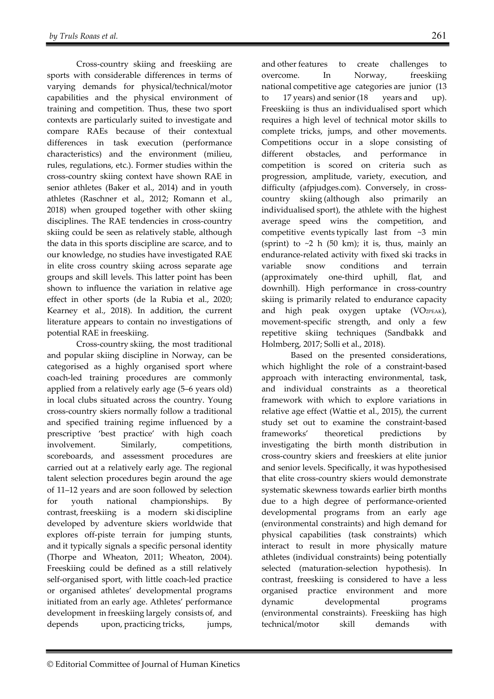Cross-country skiing and freeskiing are sports with considerable differences in terms of varying demands for physical/technical/motor capabilities and the physical environment of training and competition. Thus, these two sport contexts are particularly suited to investigate and compare RAEs because of their contextual differences in task execution (performance characteristics) and the environment (milieu, rules, regulations, etc.). Former studies within the cross-country skiing context have shown RAE in senior athletes (Baker et al., 2014) and in youth athletes (Raschner et al., 2012; Romann et al., 2018) when grouped together with other skiing disciplines. The RAE tendencies in cross-country skiing could be seen as relatively stable, although the data in this sports discipline are scarce, and to our knowledge, no studies have investigated RAE in elite cross country skiing across separate age groups and skill levels. This latter point has been shown to influence the variation in relative age effect in other sports (de la Rubia et al., 2020; Kearney et al., 2018). In addition, the current literature appears to contain no investigations of potential RAE in freeskiing.

 Cross-country skiing, the most traditional and popular skiing discipline in Norway, can be categorised as a highly organised sport where coach-led training procedures are commonly applied from a relatively early age (5–6 years old) in local clubs situated across the country. Young cross-country skiers normally follow a traditional and specified training regime influenced by a prescriptive 'best practice' with high coach involvement. Similarly, competitions, scoreboards, and assessment procedures are carried out at a relatively early age. The regional talent selection procedures begin around the age of 11–12 years and are soon followed by selection for youth national championships. By contrast, freeskiing is a modern ski discipline developed by adventure skiers worldwide that explores off-piste terrain for jumping stunts, and it typically signals a specific personal identity (Thorpe and Wheaton, 2011; Wheaton, 2004). Freeskiing could be defined as a still relatively self-organised sport, with little coach-led practice or organised athletes' developmental programs initiated from an early age. Athletes' performance development in freeskiing largely consists of, and depends upon, practicing tricks, jumps,

and other features to create challenges to overcome. In Norway, freeskiing national competitive age categories are junior (13 to 17 years) and senior (18 years and up). Freeskiing is thus an individualised sport which requires a high level of technical motor skills to complete tricks, jumps, and other movements. Competitions occur in a slope consisting of different obstacles, and performance in competition is scored on criteria such as progression, amplitude, variety, execution, and difficulty (afpjudges.com). Conversely, in crosscountry skiing (although also primarily an individualised sport), the athlete with the highest average speed wins the competition, and competitive events typically last from  $\sim$ 3 min (sprint) to  $\sim$ 2 h (50 km); it is, thus, mainly an endurance-related activity with fixed ski tracks in variable snow conditions and terrain (approximately one-third uphill, flat, and downhill). High performance in cross-country skiing is primarily related to endurance capacity and high peak oxygen uptake (VO2PEAK), movement-specific strength, and only a few repetitive skiing techniques (Sandbakk and Holmberg, 2017; Solli et al., 2018).

 Based on the presented considerations, which highlight the role of a constraint-based approach with interacting environmental, task, and individual constraints as a theoretical framework with which to explore variations in relative age effect (Wattie et al., 2015), the current study set out to examine the constraint-based frameworks' theoretical predictions by investigating the birth month distribution in cross-country skiers and freeskiers at elite junior and senior levels. Specifically, it was hypothesised that elite cross-country skiers would demonstrate systematic skewness towards earlier birth months due to a high degree of performance-oriented developmental programs from an early age (environmental constraints) and high demand for physical capabilities (task constraints) which interact to result in more physically mature athletes (individual constraints) being potentially selected (maturation-selection hypothesis). In contrast, freeskiing is considered to have a less organised practice environment and more dynamic developmental programs (environmental constraints). Freeskiing has high technical/motor skill demands with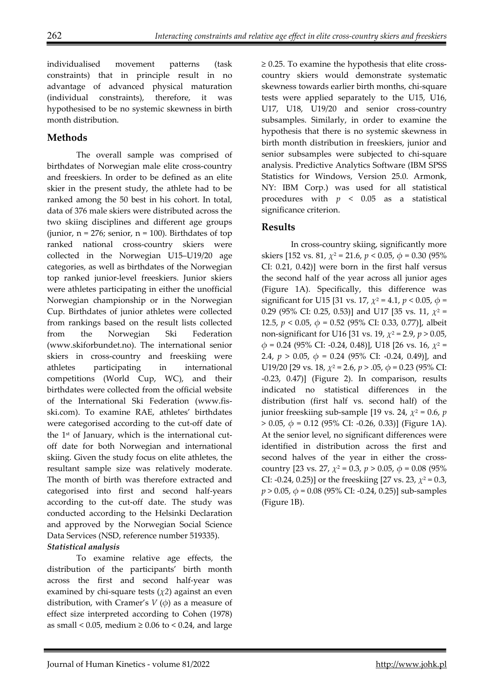individualised movement patterns (task constraints) that in principle result in no advantage of advanced physical maturation (individual constraints), therefore, it was hypothesised to be no systemic skewness in birth month distribution.

# **Methods**

The overall sample was comprised of birthdates of Norwegian male elite cross-country and freeskiers. In order to be defined as an elite skier in the present study, the athlete had to be ranked among the 50 best in his cohort. In total, data of 376 male skiers were distributed across the two skiing disciplines and different age groups (junior,  $n = 276$ ; senior,  $n = 100$ ). Birthdates of top ranked national cross-country skiers were collected in the Norwegian U15–U19/20 age categories, as well as birthdates of the Norwegian top ranked junior-level freeskiers. Junior skiers were athletes participating in either the unofficial Norwegian championship or in the Norwegian Cup. Birthdates of junior athletes were collected from rankings based on the result lists collected from the Norwegian Ski Federation (www.skiforbundet.no). The international senior skiers in cross-country and freeskiing were athletes participating in international competitions (World Cup, WC), and their birthdates were collected from the official website of the International Ski Federation (www.fisski.com). To examine RAE, athletes' birthdates were categorised according to the cut-off date of the  $1<sup>st</sup>$  of January, which is the international cutoff date for both Norwegian and international skiing. Given the study focus on elite athletes, the resultant sample size was relatively moderate. The month of birth was therefore extracted and categorised into first and second half-years according to the cut-off date. The study was conducted according to the Helsinki Declaration and approved by the Norwegian Social Science Data Services (NSD, reference number 519335).

## *Statistical analysis*

To examine relative age effects, the distribution of the participants' birth month across the first and second half-year was examined by chi-square tests  $(\chi^2)$  against an even distribution, with Cramer's  $V(\phi)$  as a measure of effect size interpreted according to Cohen (1978) as small < 0.05, medium  $\geq$  0.06 to < 0.24, and large ≥ 0.25. To examine the hypothesis that elite crosscountry skiers would demonstrate systematic skewness towards earlier birth months, chi-square tests were applied separately to the U15, U16, U17, U18, U19/20 and senior cross-country subsamples. Similarly, in order to examine the hypothesis that there is no systemic skewness in birth month distribution in freeskiers, junior and senior subsamples were subjected to chi-square analysis. Predictive Analytics Software (IBM SPSS Statistics for Windows, Version 25.0. Armonk, NY: IBM Corp.) was used for all statistical procedures with *p* < 0.05 as a statistical significance criterion.

# **Results**

In cross-country skiing, significantly more skiers [152 vs. 81,  $\chi^2$  = 21.6,  $p < 0.05$ ,  $\phi = 0.30$  (95%) CI: 0.21, 0.42)] were born in the first half versus the second half of the year across all junior ages (Figure 1A). Specifically, this difference was significant for U15 [31 vs. 17,  $\chi^2 = 4.1$ ,  $p < 0.05$ ,  $\phi =$ 0.29 (95% CI: 0.25, 0.53)] and U17 [35 vs. 11, *χ*2 = 12.5, *p* < 0.05, *ϕ* = 0.52 (95% CI: 0.33, 0.77)], albeit non-significant for U16 [31 vs. 19, *χ*2 = 2.9, *p* > 0.05, *ϕ* = 0.24 (95% CI: -0.24, 0.48)], U18 [26 vs. 16, *χ*2 = 2.4, *p* > 0.05, *ϕ* = 0.24 (95% CI: -0.24, 0.49)], and U19/20 [29 vs. 18, *χ*2 = 2.6, *p* > .05, *ϕ* = 0.23 (95% CI: -0.23, 0.47)] (Figure 2). In comparison, results indicated no statistical differences in the distribution (first half vs. second half) of the junior freeskiing sub-sample [19 vs. 24,  $\chi^2$  = 0.6, *p* > 0.05, *ϕ* = 0.12 (95% CI: -0.26, 0.33)] (Figure 1A). At the senior level, no significant differences were identified in distribution across the first and second halves of the year in either the crosscountry [23 vs. 27,  $\chi^2 = 0.3$ ,  $p > 0.05$ ,  $\phi = 0.08$  (95%) CI: -0.24, 0.25)] or the freeskiing [27 vs. 23,  $\chi^2$  = 0.3, *p* > 0.05, *ϕ* = 0.08 (95% CI: -0.24, 0.25)] sub-samples (Figure 1B).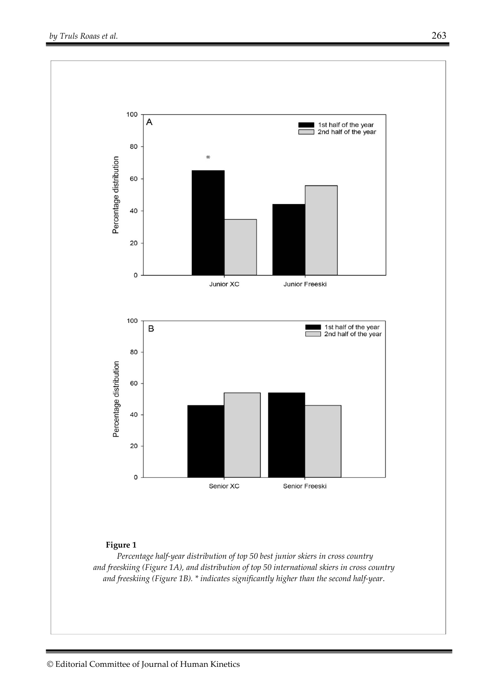

*and freeskiing (Figure 1B). \* indicates significantly higher than the second half-year*.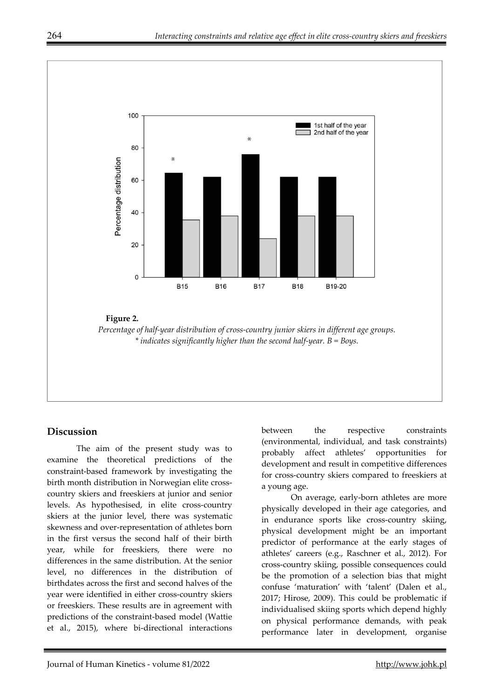

# **Discussion**

The aim of the present study was to examine the theoretical predictions of the constraint-based framework by investigating the birth month distribution in Norwegian elite crosscountry skiers and freeskiers at junior and senior levels. As hypothesised, in elite cross-country skiers at the junior level, there was systematic skewness and over-representation of athletes born in the first versus the second half of their birth year, while for freeskiers, there were no differences in the same distribution. At the senior level, no differences in the distribution of birthdates across the first and second halves of the year were identified in either cross-country skiers or freeskiers. These results are in agreement with predictions of the constraint-based model (Wattie et al., 2015), where bi-directional interactions between the respective constraints (environmental, individual, and task constraints) probably affect athletes' opportunities for development and result in competitive differences for cross-country skiers compared to freeskiers at a young age.

On average, early-born athletes are more physically developed in their age categories, and in endurance sports like cross-country skiing, physical development might be an important predictor of performance at the early stages of athletes' careers (e.g., Raschner et al., 2012). For cross-country skiing, possible consequences could be the promotion of a selection bias that might confuse 'maturation' with 'talent' (Dalen et al., 2017; Hirose, 2009). This could be problematic if individualised skiing sports which depend highly on physical performance demands, with peak performance later in development, organise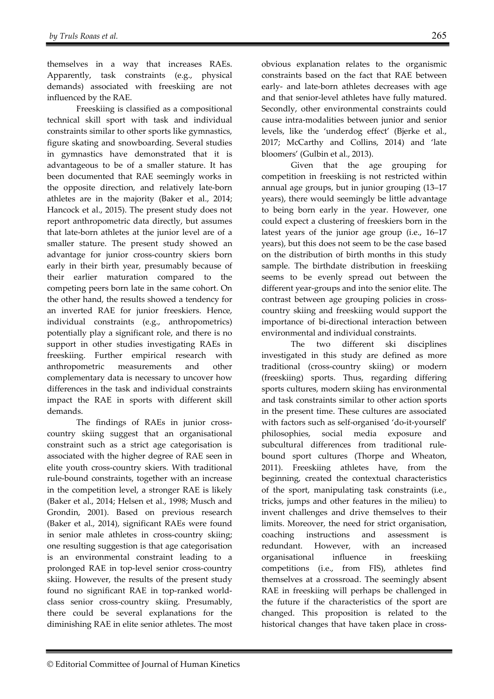themselves in a way that increases RAEs. Apparently, task constraints (e.g., physical demands) associated with freeskiing are not influenced by the RAE.

Freeskiing is classified as a compositional technical skill sport with task and individual constraints similar to other sports like gymnastics, figure skating and snowboarding. Several studies in gymnastics have demonstrated that it is advantageous to be of a smaller stature. It has been documented that RAE seemingly works in the opposite direction, and relatively late-born athletes are in the majority (Baker et al., 2014; Hancock et al., 2015). The present study does not report anthropometric data directly, but assumes that late-born athletes at the junior level are of a smaller stature. The present study showed an advantage for junior cross-country skiers born early in their birth year, presumably because of their earlier maturation compared to the competing peers born late in the same cohort. On the other hand, the results showed a tendency for an inverted RAE for junior freeskiers. Hence, individual constraints (e.g., anthropometrics) potentially play a significant role, and there is no support in other studies investigating RAEs in freeskiing. Further empirical research with anthropometric measurements and other complementary data is necessary to uncover how differences in the task and individual constraints impact the RAE in sports with different skill demands.

The findings of RAEs in junior crosscountry skiing suggest that an organisational constraint such as a strict age categorisation is associated with the higher degree of RAE seen in elite youth cross-country skiers. With traditional rule-bound constraints, together with an increase in the competition level, a stronger RAE is likely (Baker et al., 2014; Helsen et al., 1998; Musch and Grondin, 2001). Based on previous research (Baker et al., 2014), significant RAEs were found in senior male athletes in cross-country skiing; one resulting suggestion is that age categorisation is an environmental constraint leading to a prolonged RAE in top-level senior cross-country skiing. However, the results of the present study found no significant RAE in top-ranked worldclass senior cross-country skiing. Presumably, there could be several explanations for the diminishing RAE in elite senior athletes. The most obvious explanation relates to the organismic constraints based on the fact that RAE between early- and late-born athletes decreases with age and that senior-level athletes have fully matured. Secondly, other environmental constraints could cause intra-modalities between junior and senior levels, like the 'underdog effect' (Bjerke et al., 2017; McCarthy and Collins, 2014) and 'late bloomers' (Gulbin et al., 2013).

Given that the age grouping for competition in freeskiing is not restricted within annual age groups, but in junior grouping (13–17 years), there would seemingly be little advantage to being born early in the year. However, one could expect a clustering of freeskiers born in the latest years of the junior age group (i.e., 16–17 years), but this does not seem to be the case based on the distribution of birth months in this study sample. The birthdate distribution in freeskiing seems to be evenly spread out between the different year-groups and into the senior elite. The contrast between age grouping policies in crosscountry skiing and freeskiing would support the importance of bi-directional interaction between environmental and individual constraints.

The two different ski disciplines investigated in this study are defined as more traditional (cross-country skiing) or modern (freeskiing) sports. Thus, regarding differing sports cultures, modern skiing has environmental and task constraints similar to other action sports in the present time. These cultures are associated with factors such as self-organised 'do-it-yourself' philosophies, social media exposure and subcultural differences from traditional rulebound sport cultures (Thorpe and Wheaton, 2011). Freeskiing athletes have, from the beginning, created the contextual characteristics of the sport, manipulating task constraints (i.e., tricks, jumps and other features in the milieu) to invent challenges and drive themselves to their limits. Moreover, the need for strict organisation, coaching instructions and assessment is redundant. However, with an increased organisational influence in freeskiing competitions (i.e., from FIS), athletes find themselves at a crossroad. The seemingly absent RAE in freeskiing will perhaps be challenged in the future if the characteristics of the sport are changed. This proposition is related to the historical changes that have taken place in cross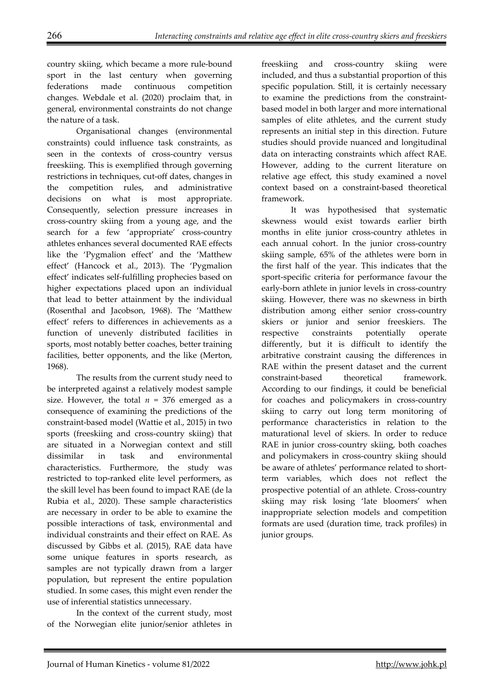country skiing, which became a more rule-bound sport in the last century when governing federations made continuous competition changes. Webdale et al. (2020) proclaim that, in general, environmental constraints do not change the nature of a task.

Organisational changes (environmental constraints) could influence task constraints, as seen in the contexts of cross-country versus freeskiing. This is exemplified through governing restrictions in techniques, cut-off dates, changes in the competition rules, and administrative decisions on what is most appropriate. Consequently, selection pressure increases in cross-country skiing from a young age, and the search for a few 'appropriate' cross-country athletes enhances several documented RAE effects like the 'Pygmalion effect' and the 'Matthew effect' (Hancock et al., 2013). The 'Pygmalion effect' indicates self-fulfilling prophecies based on higher expectations placed upon an individual that lead to better attainment by the individual (Rosenthal and Jacobson, 1968). The 'Matthew effect' refers to differences in achievements as a function of unevenly distributed facilities in sports, most notably better coaches, better training facilities, better opponents, and the like (Merton, 1968).

The results from the current study need to be interpreted against a relatively modest sample size. However, the total  $n = 376$  emerged as a consequence of examining the predictions of the constraint-based model (Wattie et al., 2015) in two sports (freeskiing and cross-country skiing) that are situated in a Norwegian context and still dissimilar in task and environmental characteristics. Furthermore, the study was restricted to top-ranked elite level performers, as the skill level has been found to impact RAE (de la Rubia et al., 2020). These sample characteristics are necessary in order to be able to examine the possible interactions of task, environmental and individual constraints and their effect on RAE. As discussed by Gibbs et al. (2015), RAE data have some unique features in sports research, as samples are not typically drawn from a larger population, but represent the entire population studied. In some cases, this might even render the use of inferential statistics unnecessary.

In the context of the current study, most of the Norwegian elite junior/senior athletes in freeskiing and cross-country skiing were included, and thus a substantial proportion of this specific population. Still, it is certainly necessary to examine the predictions from the constraintbased model in both larger and more international samples of elite athletes, and the current study represents an initial step in this direction. Future studies should provide nuanced and longitudinal data on interacting constraints which affect RAE. However, adding to the current literature on relative age effect, this study examined a novel context based on a constraint-based theoretical framework.

It was hypothesised that systematic skewness would exist towards earlier birth months in elite junior cross-country athletes in each annual cohort. In the junior cross-country skiing sample, 65% of the athletes were born in the first half of the year. This indicates that the sport-specific criteria for performance favour the early-born athlete in junior levels in cross-country skiing. However, there was no skewness in birth distribution among either senior cross-country skiers or junior and senior freeskiers. The respective constraints potentially operate differently, but it is difficult to identify the arbitrative constraint causing the differences in RAE within the present dataset and the current constraint-based theoretical framework. According to our findings, it could be beneficial for coaches and policymakers in cross-country skiing to carry out long term monitoring of performance characteristics in relation to the maturational level of skiers. In order to reduce RAE in junior cross-country skiing, both coaches and policymakers in cross-country skiing should be aware of athletes' performance related to shortterm variables, which does not reflect the prospective potential of an athlete. Cross-country skiing may risk losing 'late bloomers' when inappropriate selection models and competition formats are used (duration time, track profiles) in junior groups.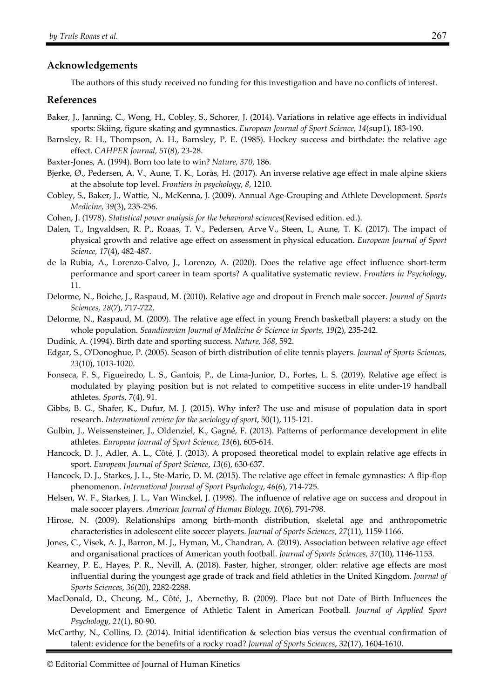## **Acknowledgements**

The authors of this study received no funding for this investigation and have no conflicts of interest.

### **References**

- Baker, J., Janning, C., Wong, H., Cobley, S., Schorer, J. (2014). Variations in relative age effects in individual sports: Skiing, figure skating and gymnastics. *European Journal of Sport Science, 14*(sup1), 183-190.
- Barnsley, R. H., Thompson, A. H., Barnsley, P. E. (1985). Hockey success and birthdate: the relative age effect. *CAHPER Journal, 51*(8), 23-28.
- Baxter-Jones, A. (1994). Born too late to win? *Nature, 370*, 186.
- Bjerke, Ø., Pedersen, A. V., Aune, T. K., Lorås, H. (2017). An inverse relative age effect in male alpine skiers at the absolute top level. *Frontiers in psychology*, *8*, 1210.
- Cobley, S., Baker, J., Wattie, N., McKenna, J. (2009). Annual Age-Grouping and Athlete Development. *Sports Medicine, 39*(3), 235-256.
- Cohen, J. (1978). *Statistical power analysis for the behavioral sciences*(Revised edition. ed.).
- Dalen, T., Ingvaldsen, R. P., Roaas, T. V., Pedersen, Arve V., Steen, I., Aune, T. K. (2017). The impact of physical growth and relative age effect on assessment in physical education. *European Journal of Sport Science, 17*(4), 482-487.
- de la Rubia, A., Lorenzo-Calvo, J., Lorenzo, A. (2020). Does the relative age effect influence short-term performance and sport career in team sports? A qualitative systematic review. *Frontiers in Psychology*, 11.
- Delorme, N., Boiche, J., Raspaud, M. (2010). Relative age and dropout in French male soccer. *Journal of Sports Sciences, 28*(7), 717-722.
- Delorme, N., Raspaud, M. (2009). The relative age effect in young French basketball players: a study on the whole population. *Scandinavian Journal of Medicine & Science in Sports, 19*(2), 235-242.
- Dudink, A. (1994). Birth date and sporting success. *Nature, 368*, 592.
- Edgar, S., O'Donoghue, P. (2005). Season of birth distribution of elite tennis players. *Journal of Sports Sciences, 23*(10), 1013-1020.
- Fonseca, F. S., Figueiredo, L. S., Gantois, P., de Lima-Junior, D., Fortes, L. S. (2019). Relative age effect is modulated by playing position but is not related to competitive success in elite under-19 handball athletes. *Sports*, *7*(4), 91.
- Gibbs, B. G., Shafer, K., Dufur, M. J. (2015). Why infer? The use and misuse of population data in sport research. *International review for the sociology of sport*, 50(1), 115-121.
- Gulbin, J., Weissensteiner, J., Oldenziel, K., Gagné, F. (2013). Patterns of performance development in elite athletes. *European Journal of Sport Science*, *13*(6), 605-614.
- Hancock, D. J., Adler, A. L., Côté, J. (2013). A proposed theoretical model to explain relative age effects in sport. *European Journal of Sport Science*, *13*(6), 630-637.
- Hancock, D. J., Starkes, J. L., Ste-Marie, D. M. (2015). The relative age effect in female gymnastics: A flip-flop phenomenon. *International Journal of Sport Psychology*, *46*(6), 714-725.
- Helsen, W. F., Starkes, J. L., Van Winckel, J. (1998). The influence of relative age on success and dropout in male soccer players. *American Journal of Human Biology, 10*(6), 791-798.
- Hirose, N. (2009). Relationships among birth-month distribution, skeletal age and anthropometric characteristics in adolescent elite soccer players. *Journal of Sports Sciences, 27*(11), 1159-1166.
- Jones, C., Visek, A. J., Barron, M. J., Hyman, M., Chandran, A. (2019). Association between relative age effect and organisational practices of American youth football. *Journal of Sports Sciences, 37*(10), 1146-1153.
- Kearney, P. E., Hayes, P. R., Nevill, A. (2018). Faster, higher, stronger, older: relative age effects are most influential during the youngest age grade of track and field athletics in the United Kingdom. *Journal of Sports Sciences*, *36*(20), 2282-2288.
- MacDonald, D., Cheung, M., Côté, J., Abernethy, B. (2009). Place but not Date of Birth Influences the Development and Emergence of Athletic Talent in American Football. *Journal of Applied Sport Psychology, 21*(1), 80-90.
- McCarthy, N., Collins, D. (2014). Initial identification & selection bias versus the eventual confirmation of talent: evidence for the benefits of a rocky road? *Journal of Sports Sciences*, 32(17), 1604-1610.